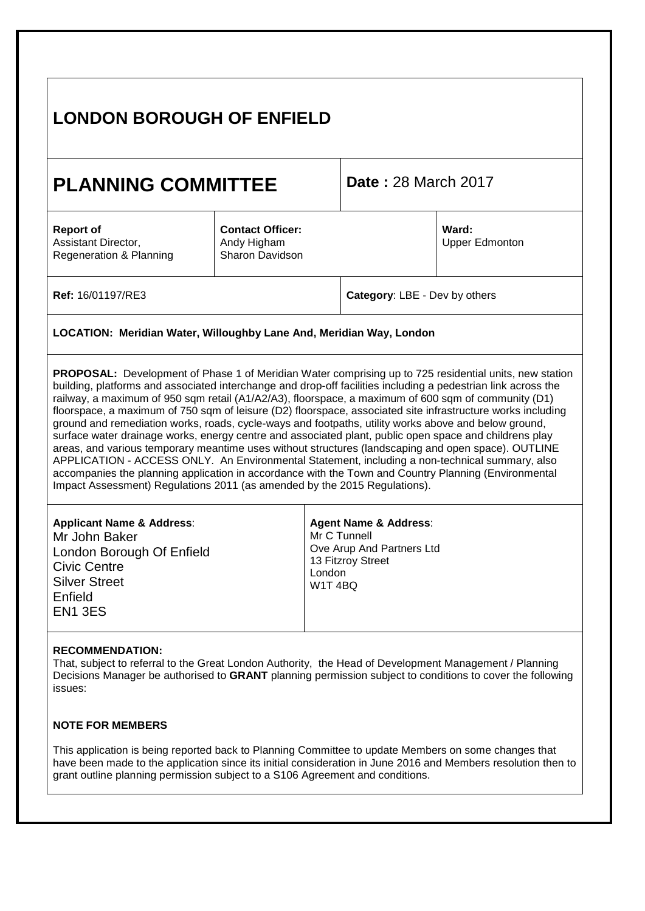|                                                                           | <b>PLANNING COMMITTEE</b>                                 | <b>Date: 28 March 2017</b>                                                                                                                                                                                                                                                                                                                                                                                                                                                                                                                                                                                                                     |  |  |
|---------------------------------------------------------------------------|-----------------------------------------------------------|------------------------------------------------------------------------------------------------------------------------------------------------------------------------------------------------------------------------------------------------------------------------------------------------------------------------------------------------------------------------------------------------------------------------------------------------------------------------------------------------------------------------------------------------------------------------------------------------------------------------------------------------|--|--|
| <b>Report of</b><br>Assistant Director,<br>Regeneration & Planning        | <b>Contact Officer:</b><br>Andy Higham<br>Sharon Davidson | Ward:<br><b>Upper Edmonton</b>                                                                                                                                                                                                                                                                                                                                                                                                                                                                                                                                                                                                                 |  |  |
| Ref: 16/01197/RE3                                                         |                                                           | Category: LBE - Dev by others                                                                                                                                                                                                                                                                                                                                                                                                                                                                                                                                                                                                                  |  |  |
| LOCATION: Meridian Water, Willoughby Lane And, Meridian Way, London       |                                                           |                                                                                                                                                                                                                                                                                                                                                                                                                                                                                                                                                                                                                                                |  |  |
| Impact Assessment) Regulations 2011 (as amended by the 2015 Regulations). |                                                           | floorspace, a maximum of 750 sqm of leisure (D2) floorspace, associated site infrastructure works including<br>ground and remediation works, roads, cycle-ways and footpaths, utility works above and below ground,<br>surface water drainage works, energy centre and associated plant, public open space and childrens play<br>areas, and various temporary meantime uses without structures (landscaping and open space). OUTLINE<br>APPLICATION - ACCESS ONLY. An Environmental Statement, including a non-technical summary, also<br>accompanies the planning application in accordance with the Town and Country Planning (Environmental |  |  |
|                                                                           |                                                           | <b>Agent Name &amp; Address:</b><br>Mr C Tunnell<br>Ove Arup And Partners Ltd<br>13 Fitzroy Street<br>London<br>W1T4BQ                                                                                                                                                                                                                                                                                                                                                                                                                                                                                                                         |  |  |

This application is being reported back to Planning Committee to update Members on some changes that have been made to the application since its initial consideration in June 2016 and Members resolution then to grant outline planning permission subject to a S106 Agreement and conditions.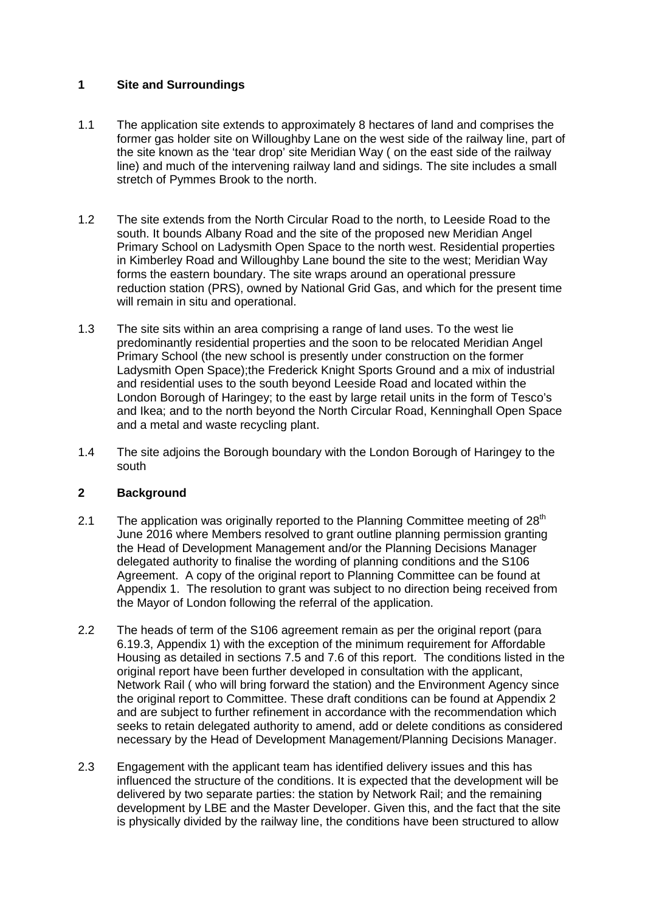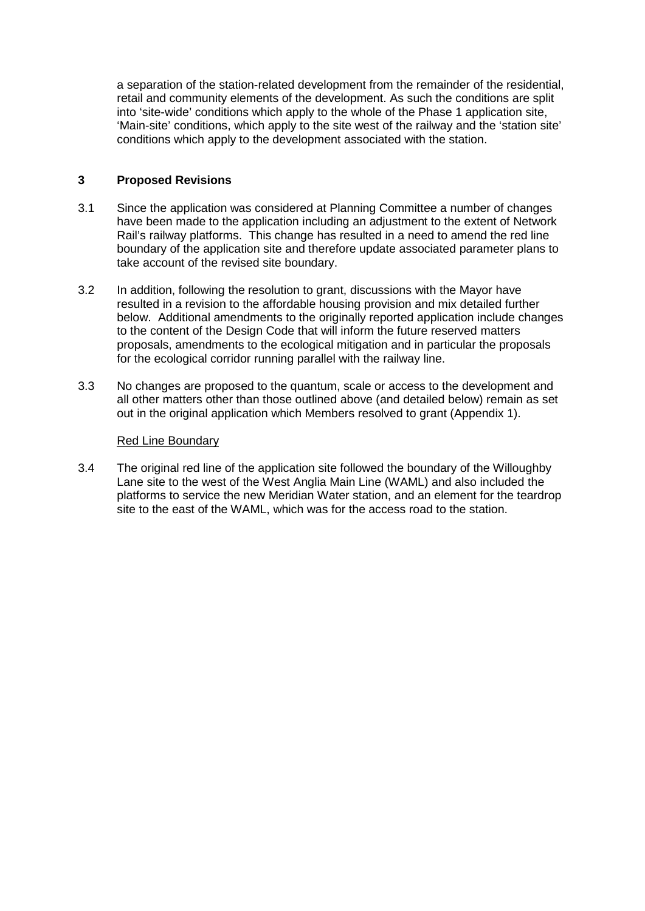# **1 Site and Surroundings**

- 1.1 The application site extends to approximately 8 hectares of land and comprises the former gas holder site on Willoughby Lane on the west side of the railway line, part of the site known as the 'tear drop' site Meridian Way ( on the east side of the railway line) and much of the intervening railway land and sidings. The site includes a small stretch of Pymmes Brook to the north.
- 1.2 The site extends from the North Circular Road to the north, to Leeside Road to the south. It bounds Albany Road and the site of the proposed new Meridian Angel Primary School on Ladysmith Open Space to the north west. Residential properties in Kimberley Road and Willoughby Lane bound the site to the west; Meridian Way forms the eastern boundary. The site wraps around an operational pressure reduction station (PRS), owned by National Grid Gas, and which for the present time will remain in situ and operational.
- 1.3 The site sits within an area comprising a range of land uses. To the west lie predominantly residential properties and the soon to be relocated Meridian Angel Primary School (the new school is presently under construction on the former Ladysmith Open Space);the Frederick Knight Sports Ground and a mix of industrial and residential uses to the south beyond Leeside Road and located within the London Borough of Haringey; to the east by large retail units in the form of Tesco's and Ikea; and to the north beyond the North Circular Road, Kenninghall Open Space and a metal and waste recycling plant.
- 1.4 The site adjoins the Borough boundary with the London Borough of Haringey to the south

## **2 Background**

- 2.1 The application was originally reported to the Planning Committee meeting of  $28<sup>th</sup>$ June 2016 where Members resolved to grant outline planning permission granting the Head of Development Management and/or the Planning Decisions Manager delegated authority to finalise the wording of planning conditions and the S106 Agreement. A copy of the original report to Planning Committee can be found at Appendix 1. The resolution to grant was subject to no direction being received from the Mayor of London following the referral of the application.
- 2.2 The heads of term of the S106 agreement remain as per the original report (para 6.19.3, Appendix 1) with the exception of the minimum requirement for Affordable Housing as detailed in sections 7.5 and 7.6 of this report. The conditions listed in the original report have been further developed in consultation with the applicant, Network Rail ( who will bring forward the station) and the Environment Agency since the original report to Committee. These draft conditions can be found at Appendix 2 and are subject to further refinement in accordance with the recommendation which seeks to retain delegated authority to amend, add or delete conditions as considered necessary by the Head of Development Management/Planning Decisions Manager.
- 2.3 Engagement with the applicant team has identified delivery issues and this has influenced the structure of the conditions. It is expected that the development will be delivered by two separate parties: the station by Network Rail; and the remaining development by LBE and the Master Developer. Given this, and the fact that the site is physically divided by the railway line, the conditions have been structured to allow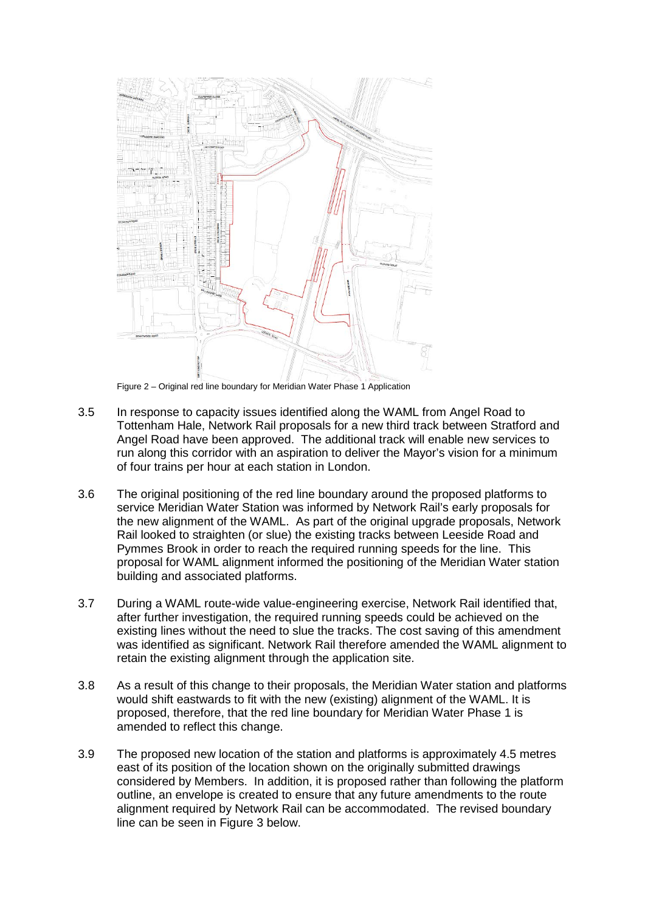a separation of the station-related development from the remainder of the residential, retail and community elements of the development. As such the conditions are split into 'site-wide' conditions which apply to the whole of the Phase 1 application site, 'Main-site' conditions, which apply to the site west of the railway and the 'station site' conditions which apply to the development associated with the station.

## **3 Proposed Revisions**

- 3.1 Since the application was considered at Planning Committee a number of changes have been made to the application including an adjustment to the extent of Network Rail's railway platforms. This change has resulted in a need to amend the red line boundary of the application site and therefore update associated parameter plans to take account of the revised site boundary.
- 3.2 In addition, following the resolution to grant, discussions with the Mayor have resulted in a revision to the affordable housing provision and mix detailed further below. Additional amendments to the originally reported application include changes to the content of the Design Code that will inform the future reserved matters proposals, amendments to the ecological mitigation and in particular the proposals for the ecological corridor running parallel with the railway line.
- 3.3 No changes are proposed to the quantum, scale or access to the development and all other matters other than those outlined above (and detailed below) remain as set out in the original application which Members resolved to grant (Appendix 1).

## Red Line Boundary

3.4 The original red line of the application site followed the boundary of the Willoughby Lane site to the west of the West Anglia Main Line (WAML) and also included the platforms to service the new Meridian Water station, and an element for the teardrop site to the east of the WAML, which was for the access road to the station.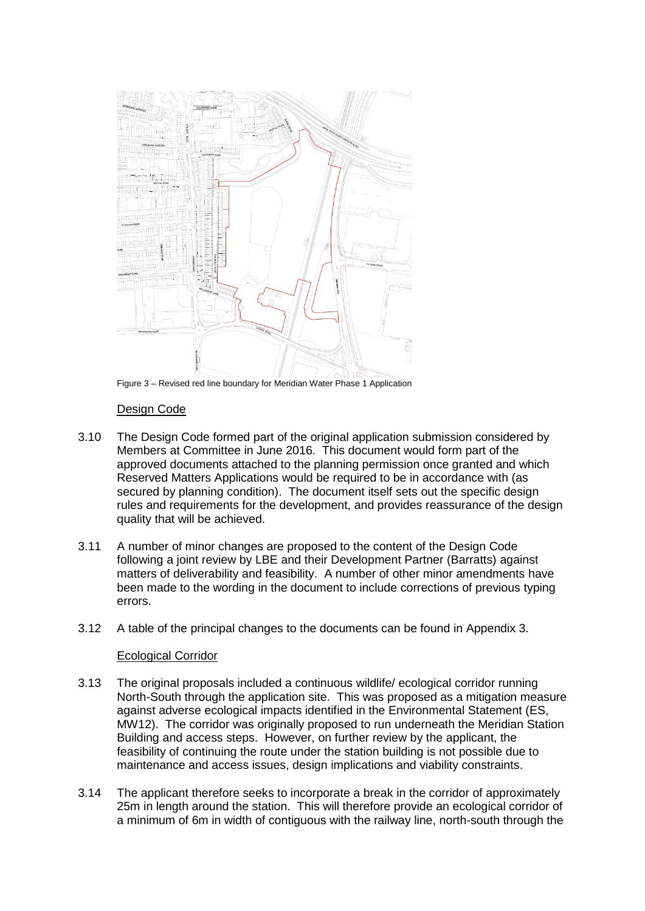

Figure 2 – Original red line boundary for Meridian Water Phase 1 Application

- 3.5 In response to capacity issues identified along the WAML from Angel Road to Tottenham Hale, Network Rail proposals for a new third track between Stratford and Angel Road have been approved. The additional track will enable new services to run along this corridor with an aspiration to deliver the Mayor's vision for a minimum of four trains per hour at each station in London.
- 3.6 The original positioning of the red line boundary around the proposed platforms to service Meridian Water Station was informed by Network Rail's early proposals for the new alignment of the WAML. As part of the original upgrade proposals, Network Rail looked to straighten (or slue) the existing tracks between Leeside Road and Pymmes Brook in order to reach the required running speeds for the line. This proposal for WAML alignment informed the positioning of the Meridian Water station building and associated platforms.
- 3.7 During a WAML route-wide value-engineering exercise, Network Rail identified that, after further investigation, the required running speeds could be achieved on the existing lines without the need to slue the tracks. The cost saving of this amendment was identified as significant. Network Rail therefore amended the WAML alignment to retain the existing alignment through the application site.
- 3.8 As a result of this change to their proposals, the Meridian Water station and platforms would shift eastwards to fit with the new (existing) alignment of the WAML. It is proposed, therefore, that the red line boundary for Meridian Water Phase 1 is amended to reflect this change.
- 3.9 The proposed new location of the station and platforms is approximately 4.5 metres east of its position of the location shown on the originally submitted drawings considered by Members. In addition, it is proposed rather than following the platform outline, an envelope is created to ensure that any future amendments to the route alignment required by Network Rail can be accommodated. The revised boundary line can be seen in Figure 3 below.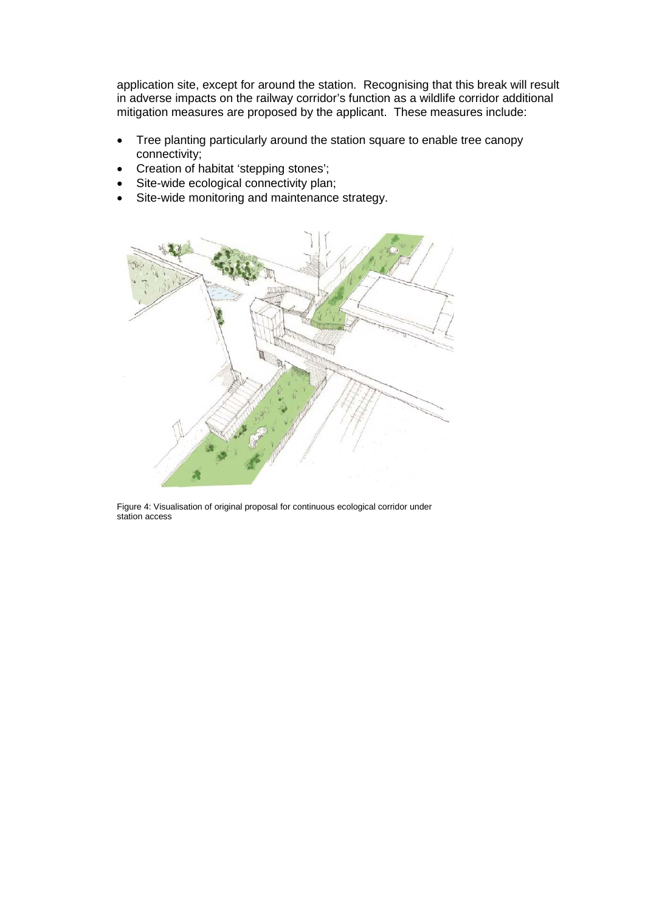

Figure 3 – Revised red line boundary for Meridian Water Phase 1 Application

#### Design Code

- 3.10 The Design Code formed part of the original application submission considered by Members at Committee in June 2016. This document would form part of the approved documents attached to the planning permission once granted and which Reserved Matters Applications would be required to be in accordance with (as secured by planning condition). The document itself sets out the specific design rules and requirements for the development, and provides reassurance of the design quality that will be achieved.
- 3.11 A number of minor changes are proposed to the content of the Design Code following a joint review by LBE and their Development Partner (Barratts) against matters of deliverability and feasibility. A number of other minor amendments have been made to the wording in the document to include corrections of previous typing errors.
- 3.12 A table of the principal changes to the documents can be found in Appendix 3.

## Ecological Corridor

- 3.13 The original proposals included a continuous wildlife/ ecological corridor running North-South through the application site. This was proposed as a mitigation measure against adverse ecological impacts identified in the Environmental Statement (ES, MW12). The corridor was originally proposed to run underneath the Meridian Station Building and access steps. However, on further review by the applicant, the feasibility of continuing the route under the station building is not possible due to maintenance and access issues, design implications and viability constraints.
- 3.14 The applicant therefore seeks to incorporate a break in the corridor of approximately 25m in length around the station. This will therefore provide an ecological corridor of a minimum of 6m in width of contiguous with the railway line, north-south through the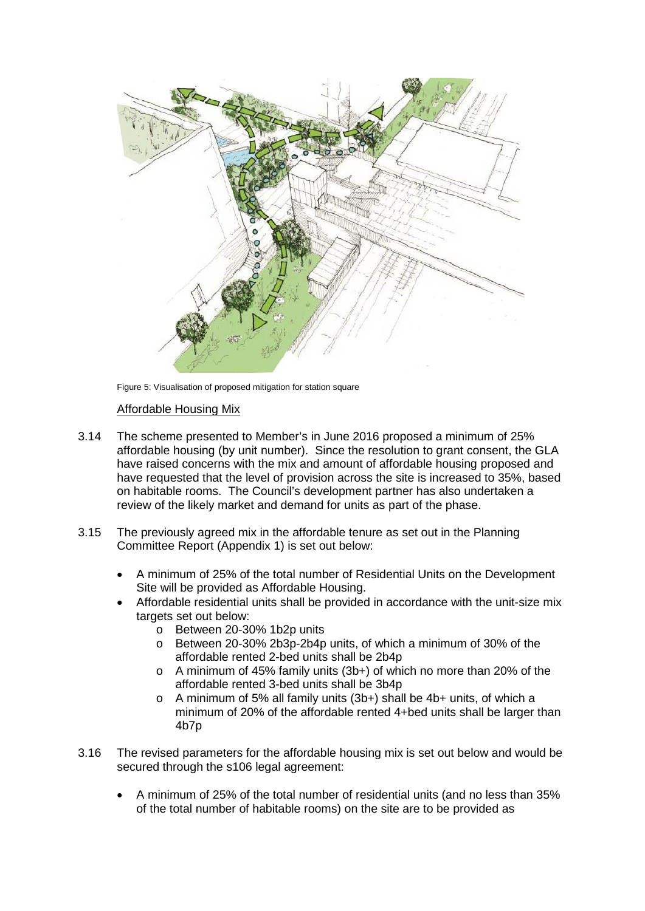application site, except for around the station. Recognising that this break will result in adverse impacts on the railway corridor's function as a wildlife corridor additional mitigation measures are proposed by the applicant. These measures include:

- Tree planting particularly around the station square to enable tree canopy connectivity;
- Creation of habitat 'stepping stones';
- Site-wide ecological connectivity plan;
- Site-wide monitoring and maintenance strategy.



Figure 4: Visualisation of original proposal for continuous ecological corridor under station access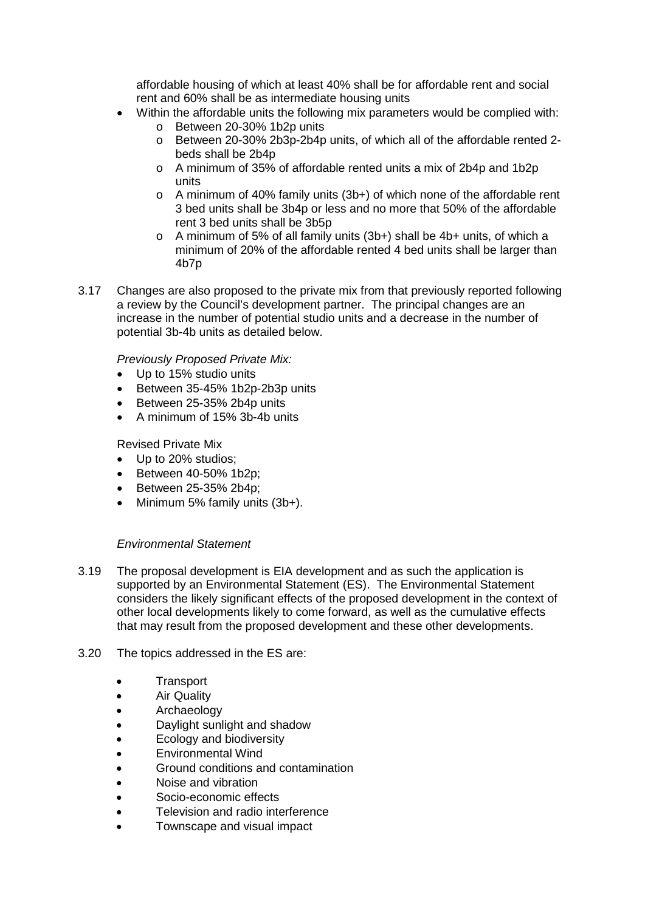

Figure 5: Visualisation of proposed mitigation for station square

## Affordable Housing Mix

- 3.14 The scheme presented to Member's in June 2016 proposed a minimum of 25% affordable housing (by unit number). Since the resolution to grant consent, the GLA have raised concerns with the mix and amount of affordable housing proposed and have requested that the level of provision across the site is increased to 35%, based on habitable rooms. The Council's development partner has also undertaken a review of the likely market and demand for units as part of the phase.
- 3.15 The previously agreed mix in the affordable tenure as set out in the Planning Committee Report (Appendix 1) is set out below:
	- A minimum of 25% of the total number of Residential Units on the Development Site will be provided as Affordable Housing.
	- Affordable residential units shall be provided in accordance with the unit-size mix targets set out below:
		- o Between 20-30% 1b2p units
		- o Between 20-30% 2b3p-2b4p units, of which a minimum of 30% of the affordable rented 2-bed units shall be 2b4p
		- o A minimum of 45% family units (3b+) of which no more than 20% of the affordable rented 3-bed units shall be 3b4p
		- o A minimum of 5% all family units (3b+) shall be 4b+ units, of which a minimum of 20% of the affordable rented 4+bed units shall be larger than 4b7p
- 3.16 The revised parameters for the affordable housing mix is set out below and would be secured through the s106 legal agreement:
	- A minimum of 25% of the total number of residential units (and no less than 35% of the total number of habitable rooms) on the site are to be provided as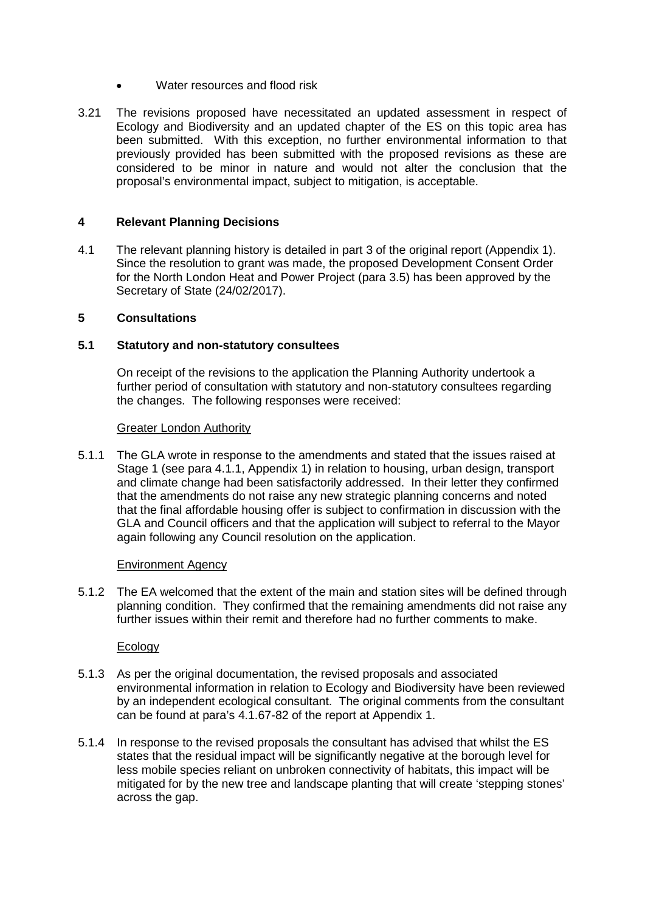affordable housing of which at least 40% shall be for affordable rent and social rent and 60% shall be as intermediate housing units

- Within the affordable units the following mix parameters would be complied with:
	- o Between 20-30% 1b2p units
	- o Between 20-30% 2b3p-2b4p units, of which all of the affordable rented 2 beds shall be 2b4p
	- o A minimum of 35% of affordable rented units a mix of 2b4p and 1b2p units
	- o A minimum of 40% family units (3b+) of which none of the affordable rent 3 bed units shall be 3b4p or less and no more that 50% of the affordable rent 3 bed units shall be 3b5p
	- o A minimum of 5% of all family units (3b+) shall be 4b+ units, of which a minimum of 20% of the affordable rented 4 bed units shall be larger than 4b7p
- 3.17 Changes are also proposed to the private mix from that previously reported following a review by the Council's development partner. The principal changes are an increase in the number of potential studio units and a decrease in the number of potential 3b-4b units as detailed below.

## *Previously Proposed Private Mix:*

- Up to 15% studio units
- Between 35-45% 1b2p-2b3p units
- Between 25-35% 2b4p units
- A minimum of 15% 3b-4b units

Revised Private Mix

- Up to 20% studios;
- Between 40-50% 1b2p;
- Between 25-35% 2b4p;
- Minimum 5% family units (3b+).

## *Environmental Statement*

- 3.19 The proposal development is EIA development and as such the application is supported by an Environmental Statement (ES). The Environmental Statement considers the likely significant effects of the proposed development in the context of other local developments likely to come forward, as well as the cumulative effects that may result from the proposed development and these other developments.
- 3.20 The topics addressed in the ES are:
	- Transport
	- Air Quality
	- **Archaeology**
	- Daylight sunlight and shadow
	- Ecology and biodiversity
	- Environmental Wind
	- Ground conditions and contamination
	- Noise and vibration
	- Socio-economic effects
	- Television and radio interference
	- Townscape and visual impact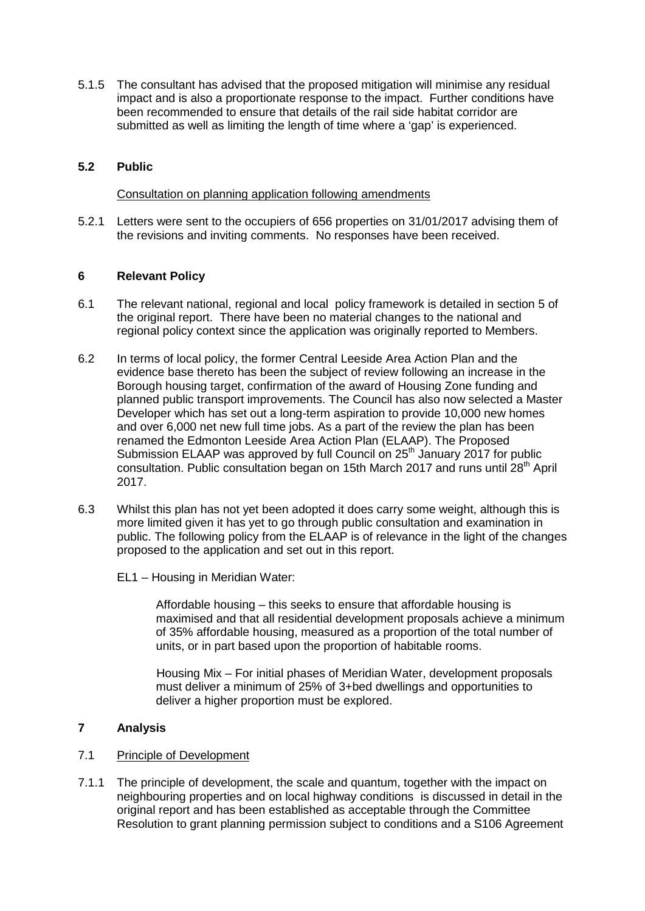- Water resources and flood risk
- 3.21 The revisions proposed have necessitated an updated assessment in respect of Ecology and Biodiversity and an updated chapter of the ES on this topic area has been submitted. With this exception, no further environmental information to that previously provided has been submitted with the proposed revisions as these are considered to be minor in nature and would not alter the conclusion that the proposal's environmental impact, subject to mitigation, is acceptable.

#### **4 Relevant Planning Decisions**

4.1 The relevant planning history is detailed in part 3 of the original report (Appendix 1). Since the resolution to grant was made, the proposed Development Consent Order for the North London Heat and Power Project (para 3.5) has been approved by the Secretary of State (24/02/2017).

#### **5 Consultations**

#### **5.1 Statutory and non-statutory consultees**

On receipt of the revisions to the application the Planning Authority undertook a further period of consultation with statutory and non-statutory consultees regarding the changes. The following responses were received:

#### Greater London Authority

5.1.1 The GLA wrote in response to the amendments and stated that the issues raised at Stage 1 (see para 4.1.1, Appendix 1) in relation to housing, urban design, transport and climate change had been satisfactorily addressed. In their letter they confirmed that the amendments do not raise any new strategic planning concerns and noted that the final affordable housing offer is subject to confirmation in discussion with the GLA and Council officers and that the application will subject to referral to the Mayor again following any Council resolution on the application.

#### Environment Agency

5.1.2 The EA welcomed that the extent of the main and station sites will be defined through planning condition. They confirmed that the remaining amendments did not raise any further issues within their remit and therefore had no further comments to make.

#### **Ecology**

- 5.1.3 As per the original documentation, the revised proposals and associated environmental information in relation to Ecology and Biodiversity have been reviewed by an independent ecological consultant. The original comments from the consultant can be found at para's 4.1.67-82 of the report at Appendix 1.
- 5.1.4 In response to the revised proposals the consultant has advised that whilst the ES states that the residual impact will be significantly negative at the borough level for less mobile species reliant on unbroken connectivity of habitats, this impact will be mitigated for by the new tree and landscape planting that will create 'stepping stones' across the gap.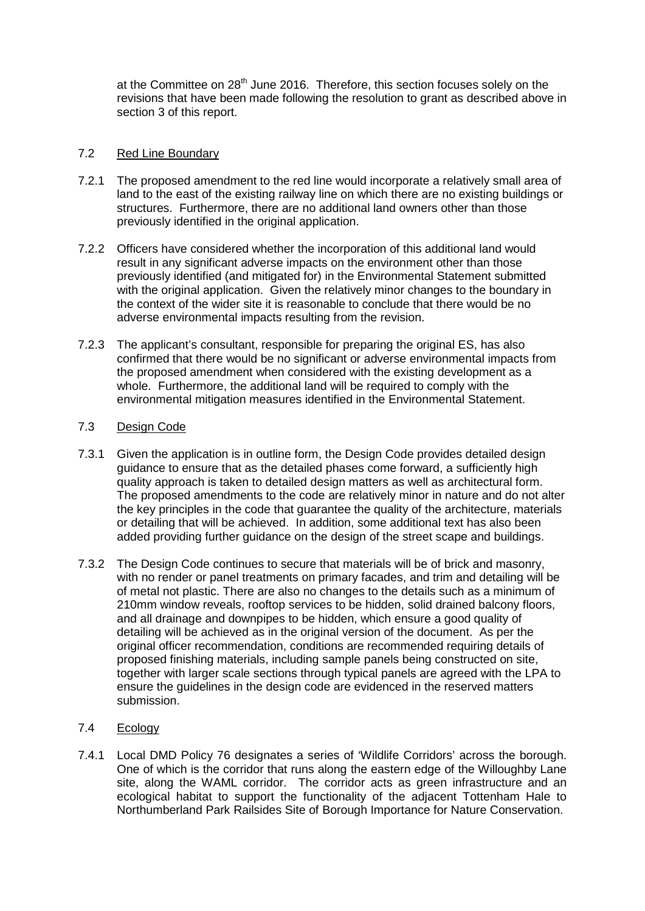5.1.5 The consultant has advised that the proposed mitigation will minimise any residual impact and is also a proportionate response to the impact. Further conditions have been recommended to ensure that details of the rail side habitat corridor are submitted as well as limiting the length of time where a 'gap' is experienced.

## **5.2 Public**

Consultation on planning application following amendments

5.2.1 Letters were sent to the occupiers of 656 properties on 31/01/2017 advising them of the revisions and inviting comments. No responses have been received.

## **6 Relevant Policy**

- 6.1 The relevant national, regional and local policy framework is detailed in section 5 of the original report. There have been no material changes to the national and regional policy context since the application was originally reported to Members.
- 6.2 In terms of local policy, the former Central Leeside Area Action Plan and the evidence base thereto has been the subject of review following an increase in the Borough housing target, confirmation of the award of Housing Zone funding and planned public transport improvements. The Council has also now selected a Master Developer which has set out a long-term aspiration to provide 10,000 new homes and over 6,000 net new full time jobs. As a part of the review the plan has been renamed the Edmonton Leeside Area Action Plan (ELAAP). The Proposed Submission ELAAP was approved by full Council on 25<sup>th</sup> January 2017 for public consultation. Public consultation began on 15th March 2017 and runs until 28th April 2017.
- 6.3 Whilst this plan has not yet been adopted it does carry some weight, although this is more limited given it has yet to go through public consultation and examination in public. The following policy from the ELAAP is of relevance in the light of the changes proposed to the application and set out in this report.
	- EL1 Housing in Meridian Water:

Affordable housing – this seeks to ensure that affordable housing is maximised and that all residential development proposals achieve a minimum of 35% affordable housing, measured as a proportion of the total number of units, or in part based upon the proportion of habitable rooms.

Housing Mix – For initial phases of Meridian Water, development proposals must deliver a minimum of 25% of 3+bed dwellings and opportunities to deliver a higher proportion must be explored.

# **7 Analysis**

## 7.1 Principle of Development

7.1.1 The principle of development, the scale and quantum, together with the impact on neighbouring properties and on local highway conditions is discussed in detail in the original report and has been established as acceptable through the Committee Resolution to grant planning permission subject to conditions and a S106 Agreement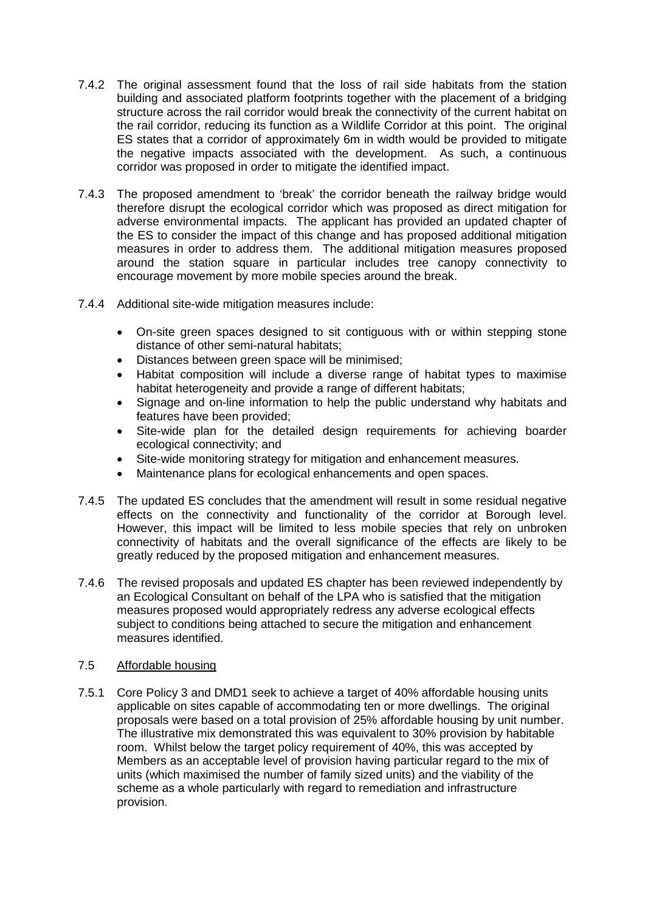at the Committee on 28<sup>th</sup> June 2016. Therefore, this section focuses solely on the revisions that have been made following the resolution to grant as described above in section 3 of this report.

## 7.2 Red Line Boundary

- 7.2.1 The proposed amendment to the red line would incorporate a relatively small area of land to the east of the existing railway line on which there are no existing buildings or structures. Furthermore, there are no additional land owners other than those previously identified in the original application.
- 7.2.2 Officers have considered whether the incorporation of this additional land would result in any significant adverse impacts on the environment other than those previously identified (and mitigated for) in the Environmental Statement submitted with the original application. Given the relatively minor changes to the boundary in the context of the wider site it is reasonable to conclude that there would be no adverse environmental impacts resulting from the revision.
- 7.2.3 The applicant's consultant, responsible for preparing the original ES, has also confirmed that there would be no significant or adverse environmental impacts from the proposed amendment when considered with the existing development as a whole. Furthermore, the additional land will be required to comply with the environmental mitigation measures identified in the Environmental Statement.

# 7.3 Design Code

- 7.3.1 Given the application is in outline form, the Design Code provides detailed design guidance to ensure that as the detailed phases come forward, a sufficiently high quality approach is taken to detailed design matters as well as architectural form. The proposed amendments to the code are relatively minor in nature and do not alter the key principles in the code that guarantee the quality of the architecture, materials or detailing that will be achieved. In addition, some additional text has also been added providing further guidance on the design of the street scape and buildings.
- 7.3.2 The Design Code continues to secure that materials will be of brick and masonry, with no render or panel treatments on primary facades, and trim and detailing will be of metal not plastic. There are also no changes to the details such as a minimum of 210mm window reveals, rooftop services to be hidden, solid drained balcony floors, and all drainage and downpipes to be hidden, which ensure a good quality of detailing will be achieved as in the original version of the document. As per the original officer recommendation, conditions are recommended requiring details of proposed finishing materials, including sample panels being constructed on site, together with larger scale sections through typical panels are agreed with the LPA to ensure the guidelines in the design code are evidenced in the reserved matters submission.
- 7.4 Ecology
- 7.4.1 Local DMD Policy 76 designates a series of 'Wildlife Corridors' across the borough. One of which is the corridor that runs along the eastern edge of the Willoughby Lane site, along the WAML corridor. The corridor acts as green infrastructure and an ecological habitat to support the functionality of the adjacent Tottenham Hale to Northumberland Park Railsides Site of Borough Importance for Nature Conservation.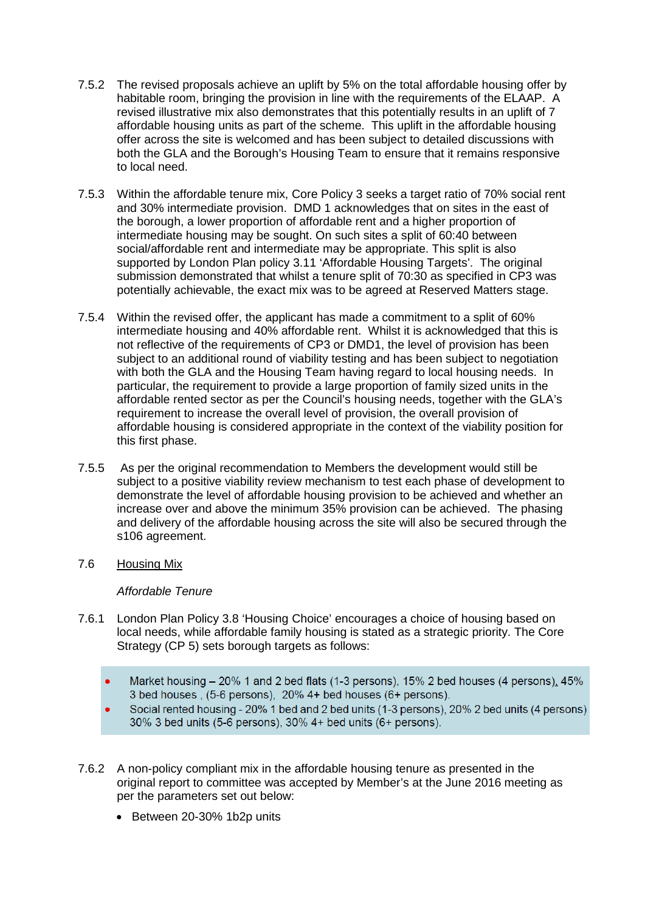- 7.4.2 The original assessment found that the loss of rail side habitats from the station building and associated platform footprints together with the placement of a bridging structure across the rail corridor would break the connectivity of the current habitat on the rail corridor, reducing its function as a Wildlife Corridor at this point. The original ES states that a corridor of approximately 6m in width would be provided to mitigate the negative impacts associated with the development. As such, a continuous corridor was proposed in order to mitigate the identified impact.
- 7.4.3 The proposed amendment to 'break' the corridor beneath the railway bridge would therefore disrupt the ecological corridor which was proposed as direct mitigation for adverse environmental impacts. The applicant has provided an updated chapter of the ES to consider the impact of this change and has proposed additional mitigation measures in order to address them. The additional mitigation measures proposed around the station square in particular includes tree canopy connectivity to encourage movement by more mobile species around the break.
- 7.4.4 Additional site-wide mitigation measures include:
	- On-site green spaces designed to sit contiguous with or within stepping stone distance of other semi-natural habitats;
	- Distances between green space will be minimised;
	- Habitat composition will include a diverse range of habitat types to maximise habitat heterogeneity and provide a range of different habitats;
	- Signage and on-line information to help the public understand why habitats and features have been provided;
	- Site-wide plan for the detailed design requirements for achieving boarder ecological connectivity; and
	- Site-wide monitoring strategy for mitigation and enhancement measures.
	- Maintenance plans for ecological enhancements and open spaces.
- 7.4.5 The updated ES concludes that the amendment will result in some residual negative effects on the connectivity and functionality of the corridor at Borough level. However, this impact will be limited to less mobile species that rely on unbroken connectivity of habitats and the overall significance of the effects are likely to be greatly reduced by the proposed mitigation and enhancement measures.
- 7.4.6 The revised proposals and updated ES chapter has been reviewed independently by an Ecological Consultant on behalf of the LPA who is satisfied that the mitigation measures proposed would appropriately redress any adverse ecological effects subject to conditions being attached to secure the mitigation and enhancement measures identified.

#### 7.5 Affordable housing

7.5.1 Core Policy 3 and DMD1 seek to achieve a target of 40% affordable housing units applicable on sites capable of accommodating ten or more dwellings. The original proposals were based on a total provision of 25% affordable housing by unit number. The illustrative mix demonstrated this was equivalent to 30% provision by habitable room. Whilst below the target policy requirement of 40%, this was accepted by Members as an acceptable level of provision having particular regard to the mix of units (which maximised the number of family sized units) and the viability of the scheme as a whole particularly with regard to remediation and infrastructure provision.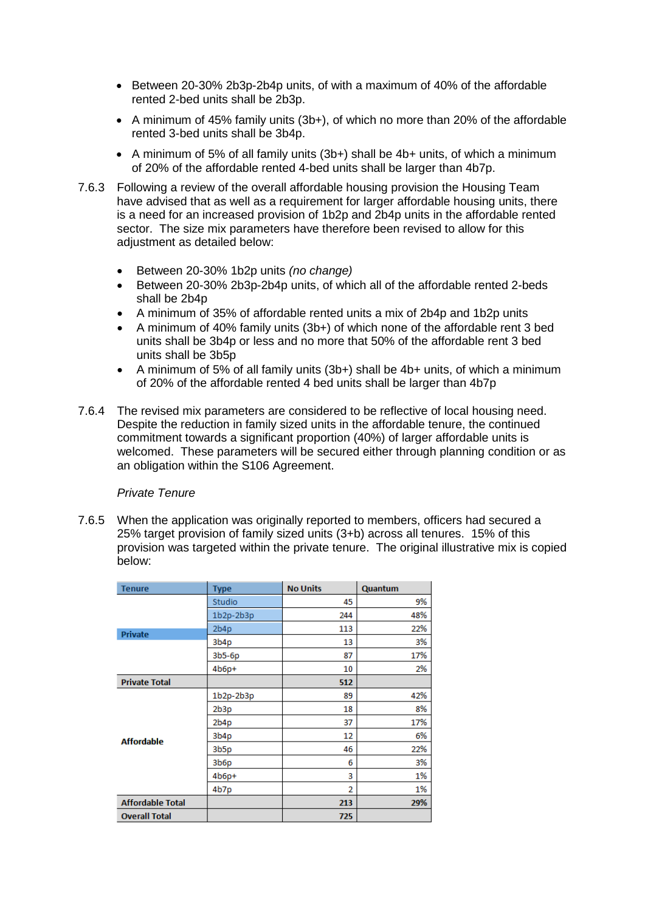- 7.5.2 The revised proposals achieve an uplift by 5% on the total affordable housing offer by habitable room, bringing the provision in line with the requirements of the ELAAP. A revised illustrative mix also demonstrates that this potentially results in an uplift of 7 affordable housing units as part of the scheme. This uplift in the affordable housing offer across the site is welcomed and has been subject to detailed discussions with both the GLA and the Borough's Housing Team to ensure that it remains responsive to local need.
- 7.5.3 Within the affordable tenure mix, Core Policy 3 seeks a target ratio of 70% social rent and 30% intermediate provision. DMD 1 acknowledges that on sites in the east of the borough, a lower proportion of affordable rent and a higher proportion of intermediate housing may be sought. On such sites a split of 60:40 between social/affordable rent and intermediate may be appropriate. This split is also supported by London Plan policy 3.11 'Affordable Housing Targets'. The original submission demonstrated that whilst a tenure split of 70:30 as specified in CP3 was potentially achievable, the exact mix was to be agreed at Reserved Matters stage.
- 7.5.4 Within the revised offer, the applicant has made a commitment to a split of 60% intermediate housing and 40% affordable rent. Whilst it is acknowledged that this is not reflective of the requirements of CP3 or DMD1, the level of provision has been subject to an additional round of viability testing and has been subject to negotiation with both the GLA and the Housing Team having regard to local housing needs. In particular, the requirement to provide a large proportion of family sized units in the affordable rented sector as per the Council's housing needs, together with the GLA's requirement to increase the overall level of provision, the overall provision of affordable housing is considered appropriate in the context of the viability position for this first phase.
- 7.5.5 As per the original recommendation to Members the development would still be subject to a positive viability review mechanism to test each phase of development to demonstrate the level of affordable housing provision to be achieved and whether an increase over and above the minimum 35% provision can be achieved. The phasing and delivery of the affordable housing across the site will also be secured through the s106 agreement.

# 7.6 Housing Mix

## *Affordable Tenure*

- 7.6.1 London Plan Policy 3.8 'Housing Choice' encourages a choice of housing based on local needs, while affordable family housing is stated as a strategic priority. The Core Strategy (CP 5) sets borough targets as follows:
	- Market housing 20% 1 and 2 bed flats (1-3 persons), 15% 2 bed houses (4 persons), 45% 3 bed houses, (5-6 persons), 20% 4+ bed houses (6+ persons).
	- Social rented housing 20% 1 bed and 2 bed units (1-3 persons), 20% 2 bed units (4 persons) 30% 3 bed units (5-6 persons), 30% 4+ bed units (6+ persons).
- 7.6.2 A non-policy compliant mix in the affordable housing tenure as presented in the original report to committee was accepted by Member's at the June 2016 meeting as per the parameters set out below:
	- Between 20-30% 1b2p units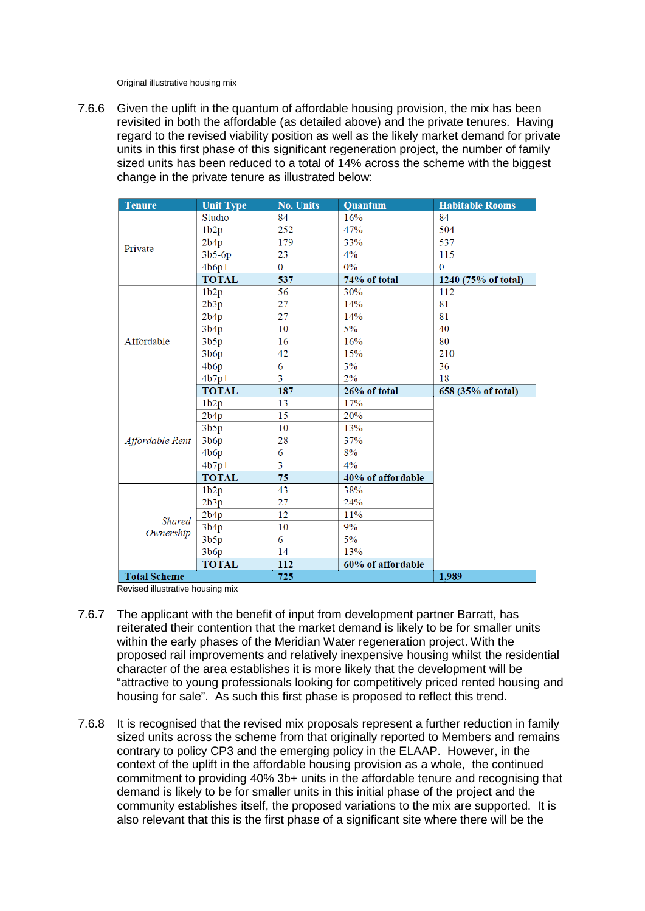- Between 20-30% 2b3p-2b4p units, of with a maximum of 40% of the affordable rented 2-bed units shall be 2b3p.
- A minimum of 45% family units (3b+), of which no more than 20% of the affordable rented 3-bed units shall be 3b4p.
- A minimum of 5% of all family units (3b+) shall be 4b+ units, of which a minimum of 20% of the affordable rented 4-bed units shall be larger than 4b7p.
- 7.6.3 Following a review of the overall affordable housing provision the Housing Team have advised that as well as a requirement for larger affordable housing units, there is a need for an increased provision of 1b2p and 2b4p units in the affordable rented sector. The size mix parameters have therefore been revised to allow for this adjustment as detailed below:
	- Between 20-30% 1b2p units *(no change)*
	- Between 20-30% 2b3p-2b4p units, of which all of the affordable rented 2-beds shall be 2b4p
	- A minimum of 35% of affordable rented units a mix of 2b4p and 1b2p units
	- A minimum of 40% family units (3b+) of which none of the affordable rent 3 bed units shall be 3b4p or less and no more that 50% of the affordable rent 3 bed units shall be 3b5p
	- A minimum of 5% of all family units (3b+) shall be 4b+ units, of which a minimum of 20% of the affordable rented 4 bed units shall be larger than 4b7p
- 7.6.4 The revised mix parameters are considered to be reflective of local housing need. Despite the reduction in family sized units in the affordable tenure, the continued commitment towards a significant proportion (40%) of larger affordable units is welcomed. These parameters will be secured either through planning condition or as an obligation within the S106 Agreement.

## *Private Tenure*

7.6.5 When the application was originally reported to members, officers had secured a 25% target provision of family sized units (3+b) across all tenures. 15% of this provision was targeted within the private tenure. The original illustrative mix is copied below:

| <b>Tenure</b>           | <b>Type</b>      | <b>No Units</b> | Quantum |
|-------------------------|------------------|-----------------|---------|
|                         | Studio           | 45              | 9%      |
|                         | $1b2p-2b3p$      | 244             | 48%     |
| <b>Private</b>          | 2b4p             | 113             | 22%     |
|                         | 3b4p             | 13              | 3%      |
|                         | $3b5-6p$         | 87              | 17%     |
|                         | $4b6p+$          | 10              | 2%      |
| <b>Private Total</b>    |                  | 512             |         |
| <b>Affordable</b>       | $1b2p-2b3p$      | 89              | 42%     |
|                         | 2b3p             | 18              | 8%      |
|                         | 2b4p             | 37              | 17%     |
|                         | 3b4p             | 12              | 6%      |
|                         | 3 <sub>b5p</sub> | 46              | 22%     |
|                         | 3b6p             | 6               | 3%      |
|                         | $4b6p+$          | 3               | 1%      |
|                         | 4b7p             | $\overline{2}$  | 1%      |
| <b>Affordable Total</b> |                  | 213             | 29%     |
| <b>Overall Total</b>    |                  | 725             |         |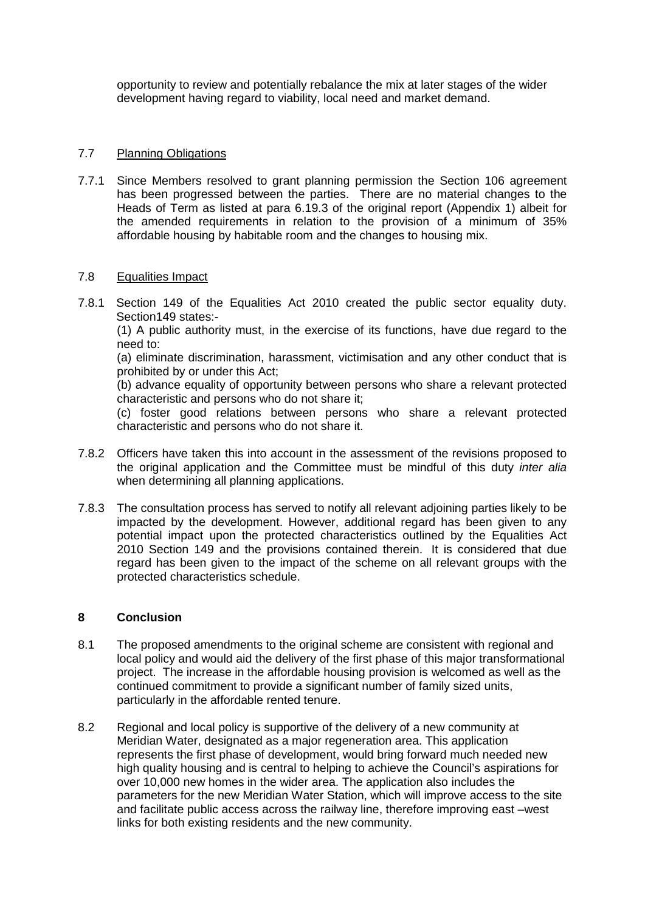Original illustrative housing mix

7.6.6 Given the uplift in the quantum of affordable housing provision, the mix has been revisited in both the affordable (as detailed above) and the private tenures. Having regard to the revised viability position as well as the likely market demand for private units in this first phase of this significant regeneration project, the number of family sized units has been reduced to a total of  $14%$  across the scheme with the biggest change in the private tenure as illustrated below:

| <b>Tenure</b>              | <b>Unit Type</b> | <b>No. Units</b> | Quantum           | <b>Habitable Rooms</b> |
|----------------------------|------------------|------------------|-------------------|------------------------|
| Private                    | Studio           | 84               | 16%               | 84                     |
|                            | 1b2p             | 252              | 47%               | 504                    |
|                            | 2b4p             | 179              | 33%               | 537                    |
|                            | $3b5-6p$         | 23               | 4%                | 115                    |
|                            | $4b6p+$          | 0                | $0\%$             | $\bf{0}$               |
|                            | <b>TOTAL</b>     | 537              | 74% of total      | 1240 (75% of total)    |
|                            | 1b2p             | $\overline{56}$  | 30%               | 112                    |
|                            | 2b3p             | 27               | 14%               | 81                     |
|                            | 2b4p             | 27               | 14%               | 81                     |
|                            | 3b4p             | 10               | 5%                | 40                     |
| Affordable                 | 3b5p             | 16               | 16%               | 80                     |
|                            | 3b6p             | 42               | 15%               | 210                    |
|                            | 4b6p             | 6                | 3%                | 36                     |
|                            | $4b7p+$          | $\overline{3}$   | 2%                | 18                     |
|                            | <b>TOTAL</b>     | 187              | 26% of total      | 658 (35% of total)     |
|                            | 1b2p             | 13               | 17%               |                        |
| Affordable Rent            | 2b4p             | 15               | 20%               |                        |
|                            | 3b5p             | 10               | 13%               |                        |
|                            | 3b6p             | 28               | 37%               |                        |
|                            | 4b6p             | 6                | 8%                |                        |
|                            | $4b7p+$          | $\overline{3}$   | $4\%$             |                        |
|                            | <b>TOTAL</b>     | 75               | 40% of affordable |                        |
| <b>Shared</b><br>Ownership | 1b2p             | 43               | 38%               |                        |
|                            | 2b3p             | 27               | 24%               |                        |
|                            | 2b4p             | 12               | 11%               |                        |
|                            | 3b4p             | 10               | 9%                |                        |
|                            | 3b5p             | 6                | 5%                |                        |
|                            | 3b6p             | 14               | 13%               |                        |
|                            | <b>TOTAL</b>     | 112              | 60% of affordable |                        |
| <b>Total Scheme</b>        |                  | 725              |                   | 1,989                  |

Revised illustrative housing mix

- 7.6.7 The applicant with the benefit of input from development partner Barratt, has reiterated their contention that the market demand is likely to be for smaller units within the early phases of the Meridian Water regeneration project. With the proposed rail improvements and relatively inexpensive housing whilst the residential character of the area establishes it is more likely that the development will be "attractive to young professionals looking for competitively priced rented housing and housing for sale". As such this first phase is proposed to reflect this trend.
- 7.6.8 It is recognised that the revised mix proposals represent a further reduction in family sized units across the scheme from that originally reported to Members and remains contrary to policy CP3 and the emerging policy in the ELAAP. However, in the context of the uplift in the affordable housing provision as a whole, the continued commitment to providing 40% 3b+ units in the affordable tenure and recognising that demand is likely to be for smaller units in this initial phase of the project and the community establishes itself, the proposed variations to the mix are supported. It is also relevant that this is the first phase of a significant site where there will be the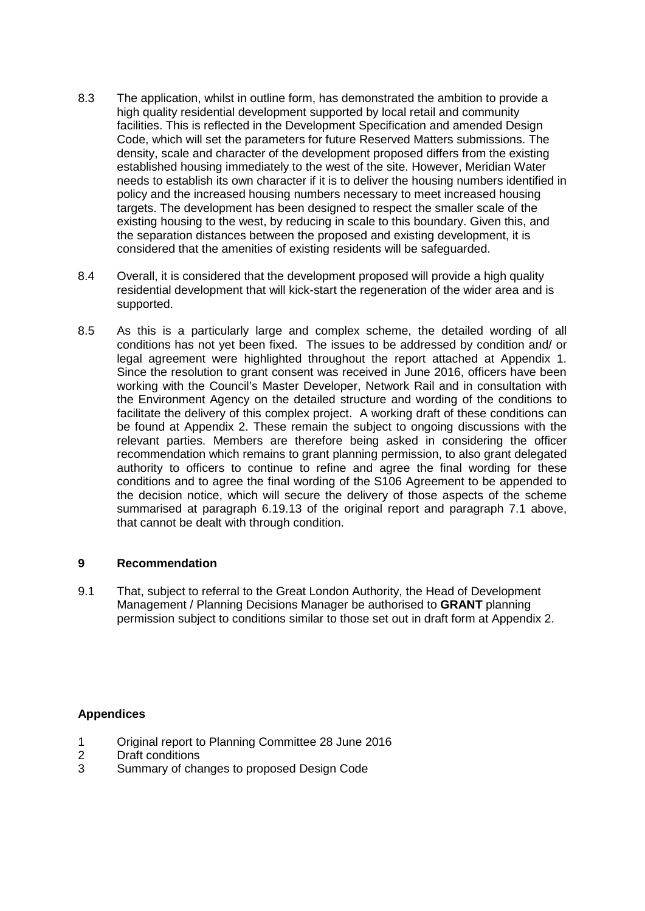opportunity to review and potentially rebalance the mix at later stages of the wider development having regard to viability, local need and market demand.

## 7.7 Planning Obligations

7.7.1 Since Members resolved to grant planning permission the Section 106 agreement has been progressed between the parties. There are no material changes to the Heads of Term as listed at para 6.19.3 of the original report (Appendix 1) albeit for the amended requirements in relation to the provision of a minimum of 35% affordable housing by habitable room and the changes to housing mix.

## 7.8 Equalities Impact

7.8.1 Section 149 of the Equalities Act 2010 created the public sector equality duty. Section149 states:-

(1) A public authority must, in the exercise of its functions, have due regard to the need to:

(a) eliminate discrimination, harassment, victimisation and any other conduct that is prohibited by or under this Act;

(b) advance equality of opportunity between persons who share a relevant protected characteristic and persons who do not share it;

(c) foster good relations between persons who share a relevant protected characteristic and persons who do not share it.

- 7.8.2 Officers have taken this into account in the assessment of the revisions proposed to the original application and the Committee must be mindful of this duty *inter alia* when determining all planning applications.
- 7.8.3 The consultation process has served to notify all relevant adjoining parties likely to be impacted by the development. However, additional regard has been given to any potential impact upon the protected characteristics outlined by the Equalities Act 2010 Section 149 and the provisions contained therein. It is considered that due regard has been given to the impact of the scheme on all relevant groups with the protected characteristics schedule.

## **8 Conclusion**

- 8.1 The proposed amendments to the original scheme are consistent with regional and local policy and would aid the delivery of the first phase of this major transformational project. The increase in the affordable housing provision is welcomed as well as the continued commitment to provide a significant number of family sized units, particularly in the affordable rented tenure.
- 8.2 Regional and local policy is supportive of the delivery of a new community at Meridian Water, designated as a major regeneration area. This application represents the first phase of development, would bring forward much needed new high quality housing and is central to helping to achieve the Council's aspirations for over 10,000 new homes in the wider area. The application also includes the parameters for the new Meridian Water Station, which will improve access to the site and facilitate public access across the railway line, therefore improving east –west links for both existing residents and the new community.